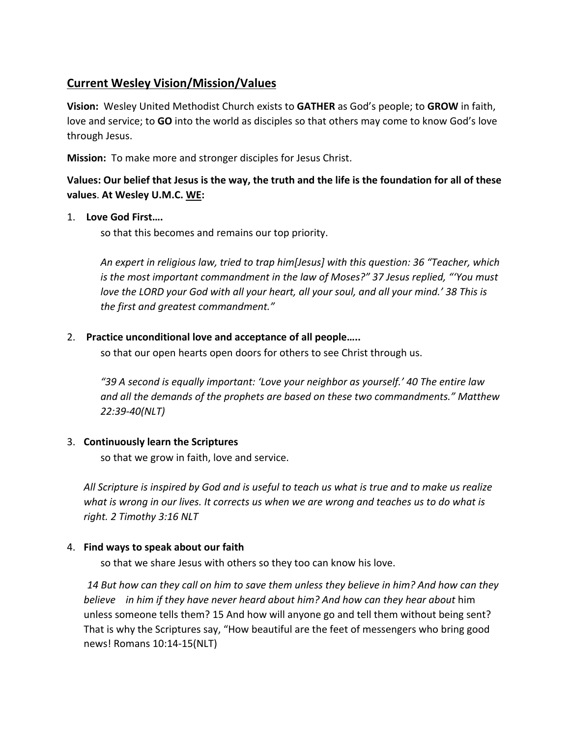# **Current Wesley Vision/Mission/Values**

**Vision:** Wesley United Methodist Church exists to **GATHER** as God's people; to **GROW** in faith, love and service; to **GO** into the world as disciples so that others may come to know God's love through Jesus.

**Mission:** To make more and stronger disciples for Jesus Christ.

# **Values: Our belief that Jesus is the way, the truth and the life is the foundation for all of these values**. **At Wesley U.M.C. WE:**

# 1. **Love God First….**

so that this becomes and remains our top priority.

*An expert in religious law, tried to trap him[Jesus] with this question: 36 "Teacher, which is the most important commandment in the law of Moses?" 37 Jesus replied, "'You must*  love the LORD your God with all your heart, all your soul, and all your mind.' 38 This is *the first and greatest commandment."*

### 2. **Practice unconditional love and acceptance of all people…..**

so that our open hearts open doors for others to see Christ through us.

*"39 A second is equally important: 'Love your neighbor as yourself.' 40 The entire law and all the demands of the prophets are based on these two commandments." Matthew 22:39-40(NLT)*

# 3. **Continuously learn the Scriptures**

so that we grow in faith, love and service.

*All Scripture is inspired by God and is useful to teach us what is true and to make us realize what is wrong in our lives. It corrects us when we are wrong and teaches us to do what is right. 2 Timothy 3:16 NLT*

#### 4. **Find ways to speak about our faith**

so that we share Jesus with others so they too can know his love.

*14 But how can they call on him to save them unless they believe in him? And how can they believe in him if they have never heard about him? And how can they hear about* him unless someone tells them? 15 And how will anyone go and tell them without being sent? That is why the Scriptures say, "How beautiful are the feet of messengers who bring good news! Romans 10:14-15(NLT)